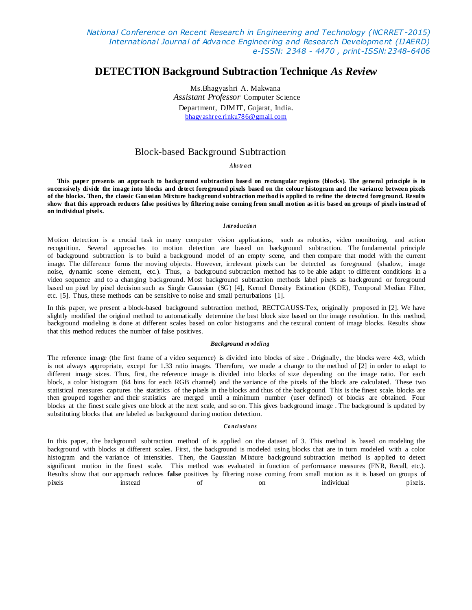# **DETECTION Background Subtraction Technique** *As Review*

Ms.Bhagyashri A. Makwana *Assistant Professor* Computer Science Department, DJMIT, Gujarat, India. bhagyashree.rinku786@gmail.com

# Block-based Background Subtraction

## *A bs tr a ct*

This paper presents an approach to background subtraction based on rectangular regions (blocks). The general principle is to successively divide the image into blocks and detect foreground pixels based on the colour histogram and the variance between pixels of the blocks. Then, the classic Gaussian Mixture background subtraction method is applied to refine the detected foreground. Results show that this approach reduces false positives by filtering noise coming from small motion as it is based on groups of pixels instead of **on individual pixels.**

#### *I ntr od u ctio n*

Motion detection is a crucial task in many computer vision applications, such as robotics, video monitoring, and action recognition. Several approaches to motion detection are based on background subtraction. The fundamental principle of background subtraction is to build a background model of an empty scene, and then compare that model with the current image. The difference forms the moving objects. However, irrelevant pixels can be detected as foreground (shadow, image noise, dynamic scene element, etc.). Thus, a background subtraction method has to be able adapt to different conditions in a video sequence and to a changing background. Most background subtraction methods label pixels as background or foreground based on pixel by pixel decision such as Single Gaussian (SG) [4], Kernel Density Estimation (KDE), Temporal Median Filter, etc. [5]. Thus, these methods can be sensitive to noise and small perturbations [1].

In this paper, we present a block-based background subtraction method, RECTGAUSS-Tex, originally proposed in [2]. We have slightly modified the original method to automatically determine the best block size based on the image resolution. In this method, background modeling is done at different scales based on color histograms and the textural content of image blocks. Results show that this method reduces the number of false positives.

### *Background m od eli n g*

The reference image (the first frame of a video sequence) is divided into blocks of size . Originally, the blocks were 4x3, which is not always appropriate, except for 1.33 ratio images. Therefore, we made a change to the method of [2] in order to adapt to different image sizes. Thus, first, the reference image is divided into blocks of size depending on the image ratio. For each block, a color histogram (64 bins for each RGB channel) and the variance of the pixels of the block are calculated. These two statistical measures captures the statistics of the pixels in the blocks and thus of the background. This is the finest scale. blocks are then grouped together and their statistics are merged until a minimum number (user defined) of blocks are obtained. Four blocks at the finest scale gives one block at the next scale, and so on. This gives background image . The background is updated by substituting blocks that are labeled as background during motion detection.

# *C o n cl u si o n s*

In this paper, the background subtraction method of is applied on the dataset of 3. This method is based on modeling the background with blocks at different scales. First, the background is modeled using blocks that are in turn modeled with a color histogram and the variance of intensities. Then, the Gaussian Mixture background subtraction method is applied to detect significant motion in the finest scale. This method was evaluated in function of performance measures (FNR, Recall, etc.). Results show that our approach reduces **false** positives by filtering noise coming from small motion as it is based on groups of pixels instead of on individual pixels.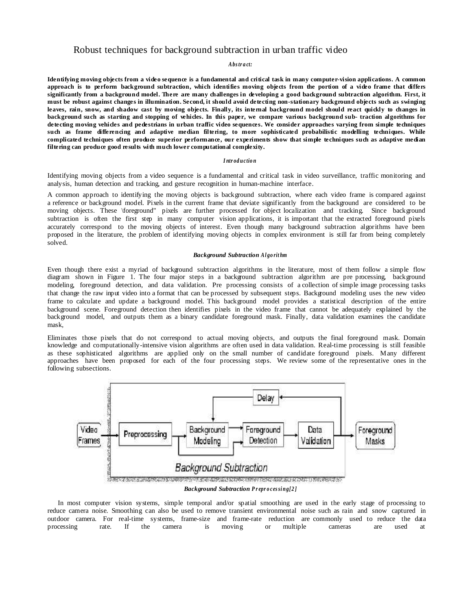# Robust techniques for background subtraction in urban traffic video

# *A bs tr a ct:*

Identifying moving objects from a video sequence is a fundamental and critical task in many computer-vision applications. A common approach is to perform background subtraction, which identifies moving objects from the portion of a video frame that differs significantly from a background model. There are many challenges in developing a good background subtraction algorithm. First, it must be robust against changes in illumination. Second, it should avoid detecting non-stationary background objects such as swinging leaves, rain, snow, and shadow cast by moving objects. Finally, its internal background model should react quickly to changes in background such as starting and stopping of whides. In this paper, we compare various background sub- traction algorithms for detecting moving vehicles and pedestrians in urban traffic video sequences. We consider approaches varying from simple techniques **such as frame differencing and adaptive median filtering, to more sophisticated probabilistic modelling techniques. While complicated techniques often produce superior performance, our experiments show that simple techniques such as adaptive median filtering can produce good results with much lower computational complexity.**

#### *I ntr od u ctio n*

Identifying moving objects from a video sequence is a fundamental and critical task in video surveillance, traffic monitoring and analysis, human detection and tracking, and gesture recognition in human-machine interface.

A common approach to identifying the moving objects is background subtraction, where each video frame is compared against a reference or background model. Pixels in the current frame that deviate significantly from the background are considered to be moving objects. These \foreground" pixels are further processed for object localization and tracking. Since background subtraction is often the first step in many computer vision applications, it is important that the extracted foreground pixels accurately correspond to the moving objects of interest. Even though many background subtraction algorithms have been proposed in the literature, the problem of identifying moving objects in complex environment is still far from being completely solved.

# *Background Subtraction A l go rit hm*

Even though there exist a myriad of background subtraction algorithms in the literature, most of them follow a simple flow diagram shown in Figure 1. The four major steps in a background subtraction algorithm are pre processing, background modeling, foreground detection, and data validation. Pre processing consists of a collection of simple image processing tasks that change the raw input video into a format that can be processed by subsequent steps. Background modeling uses the new video frame to calculate and update a background model. This background model provides a statistical description of the entire background scene. Foreground detection then identifies pixels in the video frame that cannot be adequately explained by the background model, and outputs them as a binary candidate foreground mask. Finally, data validation examines the candidate mask,

Eliminates those pixels that do not correspond to actual moving objects, and outputs the final foreground mask. Domain knowledge and computationally-intensive vision algorithms are often used in data validation. Real-time processing is still feasible as these sophisticated algorithms are applied only on the small number of candidate foreground pixels. Many different approaches have been proposed for each of the four processing steps. We review some of the representative ones in the following subsections.



In most computer vision systems, simple temporal and/or spatial smoothing are used in the early stage of processing to reduce camera noise. Smoothing can also be used to remove transient environmental noise such as rain and snow captured in outdoor camera. For real-time systems, frame-size and frame-rate reduction are commonly used to reduce the data processing rate. If the camera is moving or multiple cameras are used at